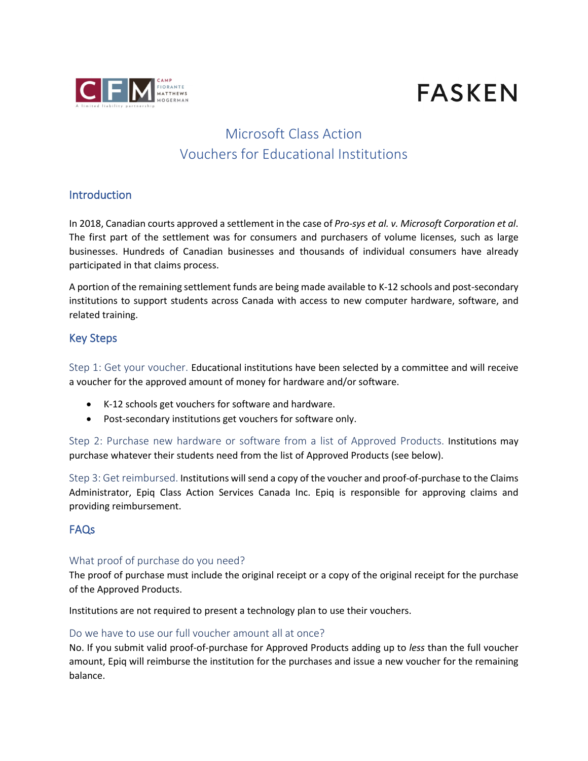

# **FASKEN**

# Microsoft Class Action Vouchers for Educational Institutions

#### **Introduction**

In 2018, Canadian courts approved a settlement in the case of *Pro-sys et al. v. Microsoft Corporation et al*. The first part of the settlement was for consumers and purchasers of volume licenses, such as large businesses. Hundreds of Canadian businesses and thousands of individual consumers have already participated in that claims process.

A portion of the remaining settlement funds are being made available to K-12 schools and post-secondary institutions to support students across Canada with access to new computer hardware, software, and related training.

#### Key Steps

Step 1: Get your voucher. Educational institutions have been selected by a committee and will receive a voucher for the approved amount of money for hardware and/or software.

- K-12 schools get vouchers for software and hardware.
- Post-secondary institutions get vouchers for software only.

Step 2: Purchase new hardware or software from a list of Approved Products. Institutions may purchase whatever their students need from the list of Approved Products (see below).

Step 3: Get reimbursed. Institutions will send a copy of the voucher and proof-of-purchase to the Claims Administrator, Epiq Class Action Services Canada Inc. Epiq is responsible for approving claims and providing reimbursement.

#### FAQs

#### What proof of purchase do you need?

The proof of purchase must include the original receipt or a copy of the original receipt for the purchase of the Approved Products.

Institutions are not required to present a technology plan to use their vouchers.

#### Do we have to use our full voucher amount all at once?

No. If you submit valid proof-of-purchase for Approved Products adding up to *less* than the full voucher amount, Epiq will reimburse the institution for the purchases and issue a new voucher for the remaining balance.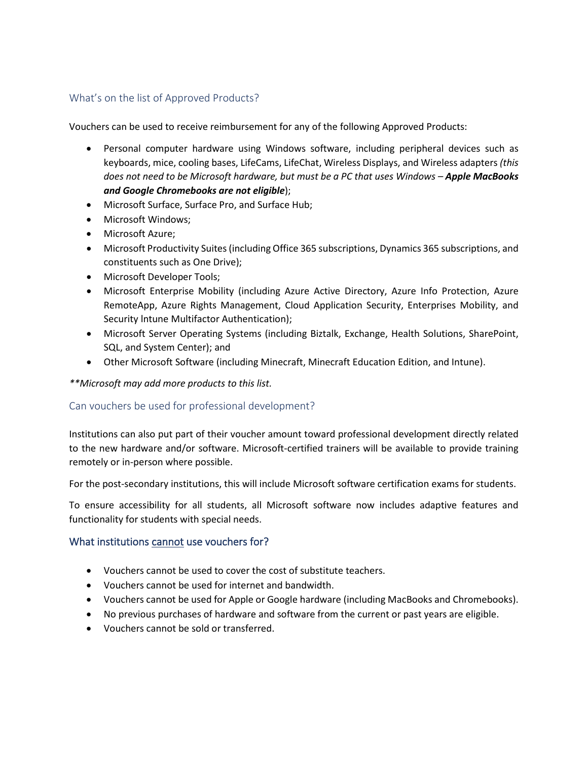#### What's on the list of Approved Products?

Vouchers can be used to receive reimbursement for any of the following Approved Products:

- Personal computer hardware using Windows software, including peripheral devices such as keyboards, mice, cooling bases, LifeCams, LifeChat, Wireless Displays, and Wireless adapters *(this does not need to be Microsoft hardware, but must be a PC that uses Windows – Apple MacBooks and Google Chromebooks are not eligible*);
- Microsoft Surface, Surface Pro, and Surface Hub;
- Microsoft Windows;
- Microsoft Azure;
- Microsoft Productivity Suites (including Office 365 subscriptions, Dynamics 365 subscriptions, and constituents such as One Drive);
- Microsoft Developer Tools;
- Microsoft Enterprise Mobility (including Azure Active Directory, Azure Info Protection, Azure RemoteApp, Azure Rights Management, Cloud Application Security, Enterprises Mobility, and Security lntune Multifactor Authentication);
- Microsoft Server Operating Systems (including Biztalk, Exchange, Health Solutions, SharePoint, SQL, and System Center); and
- Other Microsoft Software (including Minecraft, Minecraft Education Edition, and Intune).

*\*\*Microsoft may add more products to this list.* 

#### Can vouchers be used for professional development?

Institutions can also put part of their voucher amount toward professional development directly related to the new hardware and/or software. Microsoft-certified trainers will be available to provide training remotely or in-person where possible.

For the post-secondary institutions, this will include Microsoft software certification exams for students.

To ensure accessibility for all students, all Microsoft software now includes adaptive features and functionality for students with special needs.

#### What institutions cannot use vouchers for?

- Vouchers cannot be used to cover the cost of substitute teachers.
- Vouchers cannot be used for internet and bandwidth.
- Vouchers cannot be used for Apple or Google hardware (including MacBooks and Chromebooks).
- No previous purchases of hardware and software from the current or past years are eligible.
- Vouchers cannot be sold or transferred.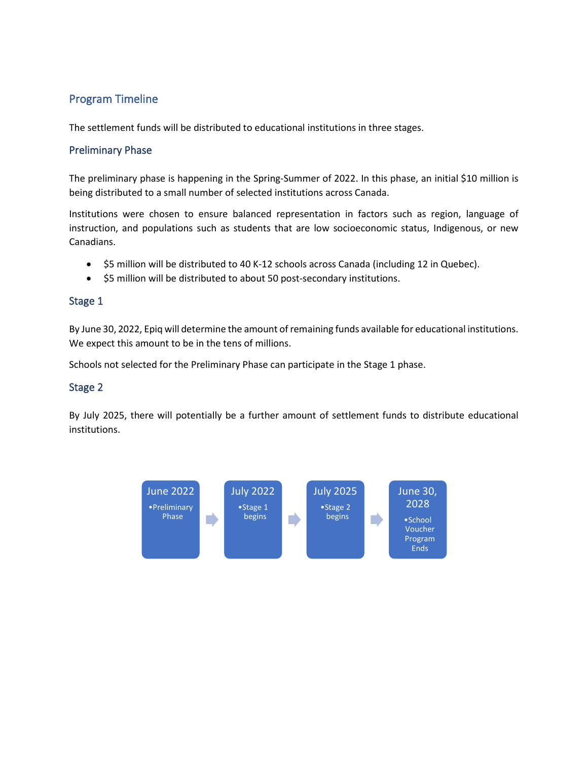### Program Timeline

The settlement funds will be distributed to educational institutions in three stages.

#### Preliminary Phase

The preliminary phase is happening in the Spring-Summer of 2022. In this phase, an initial \$10 million is being distributed to a small number of selected institutions across Canada.

Institutions were chosen to ensure balanced representation in factors such as region, language of instruction, and populations such as students that are low socioeconomic status, Indigenous, or new Canadians.

- \$5 million will be distributed to 40 K-12 schools across Canada (including 12 in Quebec).
- \$5 million will be distributed to about 50 post-secondary institutions.

#### Stage 1

By June 30, 2022, Epiq will determine the amount of remaining funds available for educational institutions. We expect this amount to be in the tens of millions.

Schools not selected for the Preliminary Phase can participate in the Stage 1 phase.

#### Stage 2

By July 2025, there will potentially be a further amount of settlement funds to distribute educational institutions.